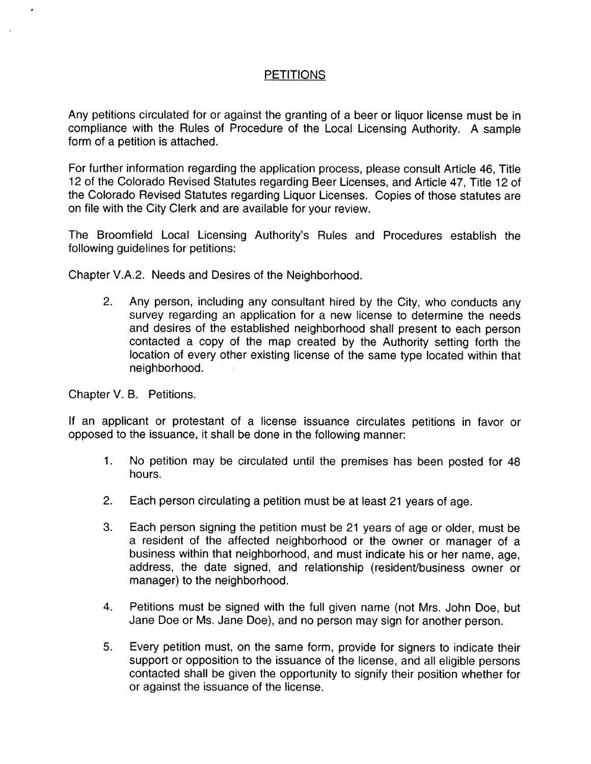# **PETITIONS**

Any petitions circulated for or against the granting of a beer or liquor license must be in compliance with the Rules of Procedure of the Local Licensing Authority. A sample form of a petition is attached.

For further information regarding the application process, please consult Article 46, Title 12 of the Colorado Revised Statutes regarding Beer Licenses, and Article 47, Title 12 of the Colorado Revised Statutes regarding Liquor Licenses . Copies of those statutes are on file with the City Clerk and are available for your review.

The Broomfield Local Licensing Authority's Rules and Procedures establish the following guidelines for petitions:

Chapter V.A.2. Needs and Desires of the Neighborhood.

2. Any person, including any consultant hired by the City, who conducts any survey regarding an application for a new license to determine the needs and desires of the established neighborhood shall present to each person contacted a copy of the map created by the Authority setting forth the location of every other existing license of the same type located within that neighborhood.

Chapter V. B. Petitions.

If an applicant or protestant of a license issuance circulates petitions in favor or opposed to the issuance, it shall be done in the following manner:

- 1. No petition may be circulated until the premises has been posted for 48 hours.
- 2. Each person circulating a petition must be at least 21 years of age.
- 3. Each person signing the petition must be 21 years of age or older, must be a resident of the affected neighborhood or the owner or manager of a business within that neighborhood, and must indicate his or her name, age, address, the date signed, and relationship (resident/business owner or manager) to the neighborhood.
- 4. Petitions must be signed with the full given name (not Mrs. John Doe, but Jane Doe or Ms. Jane Doe), and no person may sign for another person.
- 5 . Every petition must, on the same form, provide for signers to indicate their support or opposition to the issuance of the license, and all eligible persons contacted shall be given the opportunity to signify their position whether for or against the issuance of the license .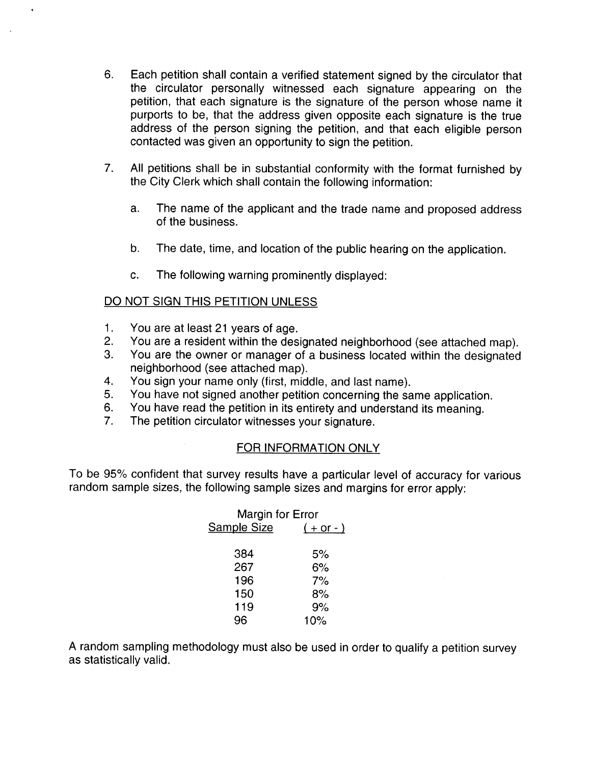- 6. Each petition shall contain a verified statement signed by the circulator that the circulator personally witnessed each signature appearing on the petition, that each signature is the signature of the person whose name it purports to be, that the address given opposite each signature is the true address of the person signing the petition, and that each eligible person contacted was given an opportunity to sign the petition.
- 7. All petitions shall be in substantial conformity with the format furnished by the City Clerk which shall contain the following information:
	- a. The name of the applicant and the trade name and proposed address of the business .
	- b. The date, time, and location of the public hearing on the application.
	- c. The following warning prominently displayed:

# DO NOT SIGN THIS PETITION UNLESS

- 1. You are at least 21 years of age.
- 2. You are a resident within the designated neighborhood (see attached map).
- 3. You are the owner or manager of a business located within the designated neighborhood (see attached map).
- 4. You sign your name only (first, middle, and last name).<br>5. You have not signed another petition concerning the sa
- You have not signed another petition concerning the same application.
- 6 . You have read the petition in its entirety and understand its meaning .
- 7. The petition circulator witnesses your signature.

### FOR INFORMATION ONLY

To be 95% confident that survey results have a particular level of accuracy for various random sample sizes, the following sample sizes and margins for error apply:

| Margin for Error   |                   |  |  |  |  |  |  |
|--------------------|-------------------|--|--|--|--|--|--|
| <b>Sample Size</b> | <u>( + or - )</u> |  |  |  |  |  |  |
|                    |                   |  |  |  |  |  |  |
| 384                | 5%                |  |  |  |  |  |  |
| 267                | 6%                |  |  |  |  |  |  |
| 196                | 7%                |  |  |  |  |  |  |
| 150                | 8%                |  |  |  |  |  |  |
| 119                | 9%                |  |  |  |  |  |  |
| 96                 | 10%               |  |  |  |  |  |  |

A random sampling methodology must also be used in order to qualify a petition survey as statistically valid.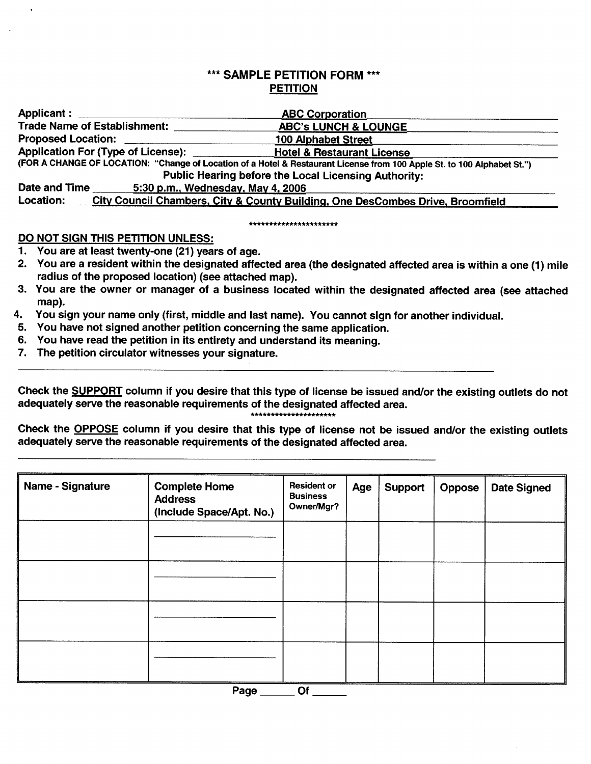# \*\*\* SAMPLE PETITION FORM \*\*\* PETITION

|                                                    | FEILIVN                                                                                                                 |
|----------------------------------------------------|-------------------------------------------------------------------------------------------------------------------------|
| Applicant : ________________                       | <b>ABC Corporation</b>                                                                                                  |
| <b>Trade Name of Establishment:</b>                | <b>ABC's LUNCH &amp; LOUNGE</b>                                                                                         |
| Proposed Location: ______________                  | 100 Alphabet Street                                                                                                     |
|                                                    |                                                                                                                         |
|                                                    | (FOR A CHANGE OF LOCATION: "Change of Location of a Hotel & Restaurant License from 100 Apple St. to 100 Alphabet St.") |
|                                                    | <b>Public Hearing before the Local Licensing Authority:</b>                                                             |
| Date and Time<br>5:30 p.m., Wednesday, May 4, 2006 |                                                                                                                         |
| <b>Location:</b>                                   | City Council Chambers, City & County Building, One DesCombes Drive, Broomfield                                          |

#### \*\*\*\*\*\*\*\*\*\*\*\*\*\*\*\*\*\*\*\*\*

## DO NOT SIGN THIS PETITION UNLESS:

- 1. You are at least twenty-one (21) years of age.
- 2. You are a resident within the designated affected area (the designated affected area is within a one (1) mile radius of the proposed location) (see attached map).
- 3. You are the owner or manager of a business located within the designated affected area (see attached map).
- 4. You sign your name only (first, middle and last name). You cannot sign for another individual .
- 5. You have not signed another petition concerning the same application .
- 6. You have read the petition in its entirety and understand its meaning.
- 7. The petition circulator witnesses your signature.

Check the SUPPORT column if you desire that this type of license be issued and/or the existing outlets do not adequately serve the reasonable requirements of the designated affected area . \*\*\*\*\*\*\*\*\*\*\*\*\*\*\*\*\*\*\*

Check the OPPOSE column if you desire that this type of license not be issued and/or the existing outlets adequately serve the reasonable requirements of the designated affected area.

| Name - Signature | <b>Complete Home</b><br><b>Address</b><br>(Include Space/Apt. No.) | <b>Resident or</b><br><b>Business</b><br>Owner/Mgr? | Age | Support | Oppose | <b>Date Signed</b> |
|------------------|--------------------------------------------------------------------|-----------------------------------------------------|-----|---------|--------|--------------------|
|                  |                                                                    |                                                     |     |         |        |                    |
|                  |                                                                    |                                                     |     |         |        |                    |
|                  |                                                                    |                                                     |     |         |        |                    |
|                  |                                                                    |                                                     |     |         |        |                    |

Page \_\_\_\_\_\_\_Of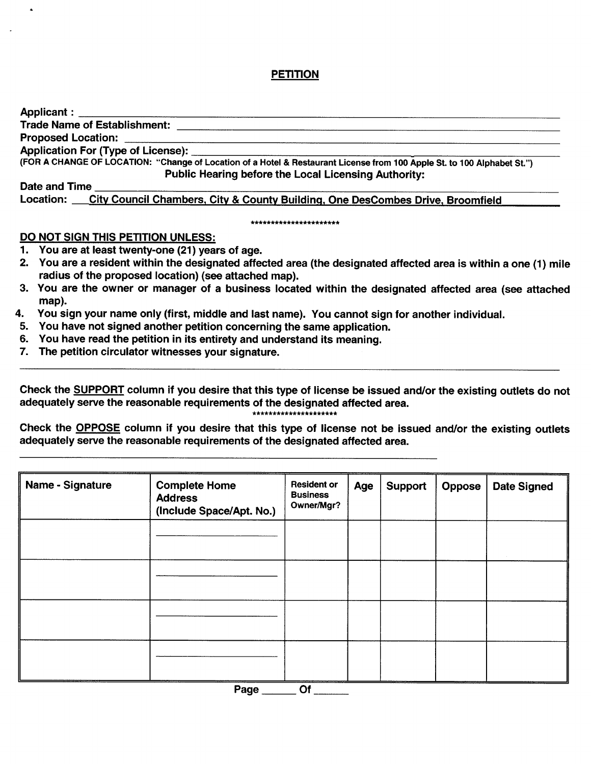# PETITION

| (FOR A CHANGE OF LOCATION: "Change of Location of a Hotel & Restaurant License from 100 Apple St. to 100 Alphabet St.")                                                  |
|--------------------------------------------------------------------------------------------------------------------------------------------------------------------------|
| <b>Public Hearing before the Local Licensing Authority:</b>                                                                                                              |
| Date and Time                                                                                                                                                            |
| Location: City Council Chambers, City & County Building, One DesCombes Drive, Broomfield                                                                                 |
| ***********************                                                                                                                                                  |
| DO NOT SIGN THIS PETITION UNLESS:                                                                                                                                        |
| 1. You are at least twenty-one (21) years of age.                                                                                                                        |
| 2. You are a resident within the designated affected area (the designated affected area is within a one (1) mile<br>radius of the proposed location) (see attached map). |

- 3. You are the owner or manager of a business located within the designated affected area (see attached map).
- 4. You sign your name only (first, middle and last name). You cannot sign for another individual.
- 5. You have not signed another petition concerning the same application.
- 6. You have read the petition in its entirety and understand its meaning.
- 7. The petition circulator witnesses your signature.

Check the SUPPORT column if you desire that this type of license be issued and/or the existing outlets do not adequately serve the reasonable requirements of the designated affected area . \*\*\*\*\*\*\*\*\*\*\*\*\*\*\*\*\*\*\*\*\*

Check the OPPOSE column if you desire that this type of license not be issued and/or the existing outlets adequately serve the reasonable requirements of the designated affected area .

| Name - Signature | <b>Complete Home</b><br><b>Address</b><br>(Include Space/Apt. No.) | <b>Resident or</b><br><b>Business</b><br>Owner/Mgr? | Age | Support | <b>Oppose</b> | <b>Date Signed</b> |
|------------------|--------------------------------------------------------------------|-----------------------------------------------------|-----|---------|---------------|--------------------|
|                  |                                                                    |                                                     |     |         |               |                    |
|                  |                                                                    |                                                     |     |         |               |                    |
|                  |                                                                    |                                                     |     |         |               |                    |
|                  |                                                                    |                                                     |     |         |               |                    |

Page \_\_\_\_\_\_\_\_ Of \_\_\_\_\_\_\_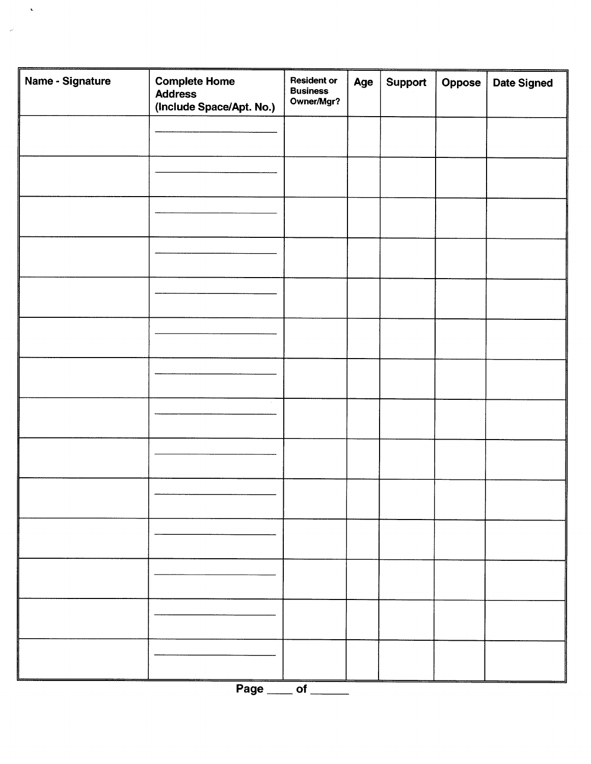| Name - Signature | <b>Complete Home</b><br><b>Address</b><br>(Include Space/Apt. No.) | <b>Resident or</b><br><b>Business</b><br>Owner/Mgr? | Age | Support | Oppose | <b>Date Signed</b> |
|------------------|--------------------------------------------------------------------|-----------------------------------------------------|-----|---------|--------|--------------------|
|                  |                                                                    |                                                     |     |         |        |                    |
|                  |                                                                    |                                                     |     |         |        |                    |
|                  |                                                                    |                                                     |     |         |        |                    |
|                  |                                                                    |                                                     |     |         |        |                    |
|                  |                                                                    |                                                     |     |         |        |                    |
|                  |                                                                    |                                                     |     |         |        |                    |
|                  |                                                                    |                                                     |     |         |        |                    |
|                  |                                                                    |                                                     |     |         |        |                    |
|                  |                                                                    |                                                     |     |         |        |                    |
|                  |                                                                    |                                                     |     |         |        |                    |
|                  |                                                                    |                                                     |     |         |        |                    |
|                  |                                                                    |                                                     |     |         |        |                    |
|                  |                                                                    |                                                     |     |         |        |                    |
|                  |                                                                    |                                                     |     |         |        |                    |
|                  | Page ___ of __                                                     |                                                     |     |         |        |                    |

 $\langle \cdot, \cdot \rangle$ 

 $\sim$   $\omega$  .